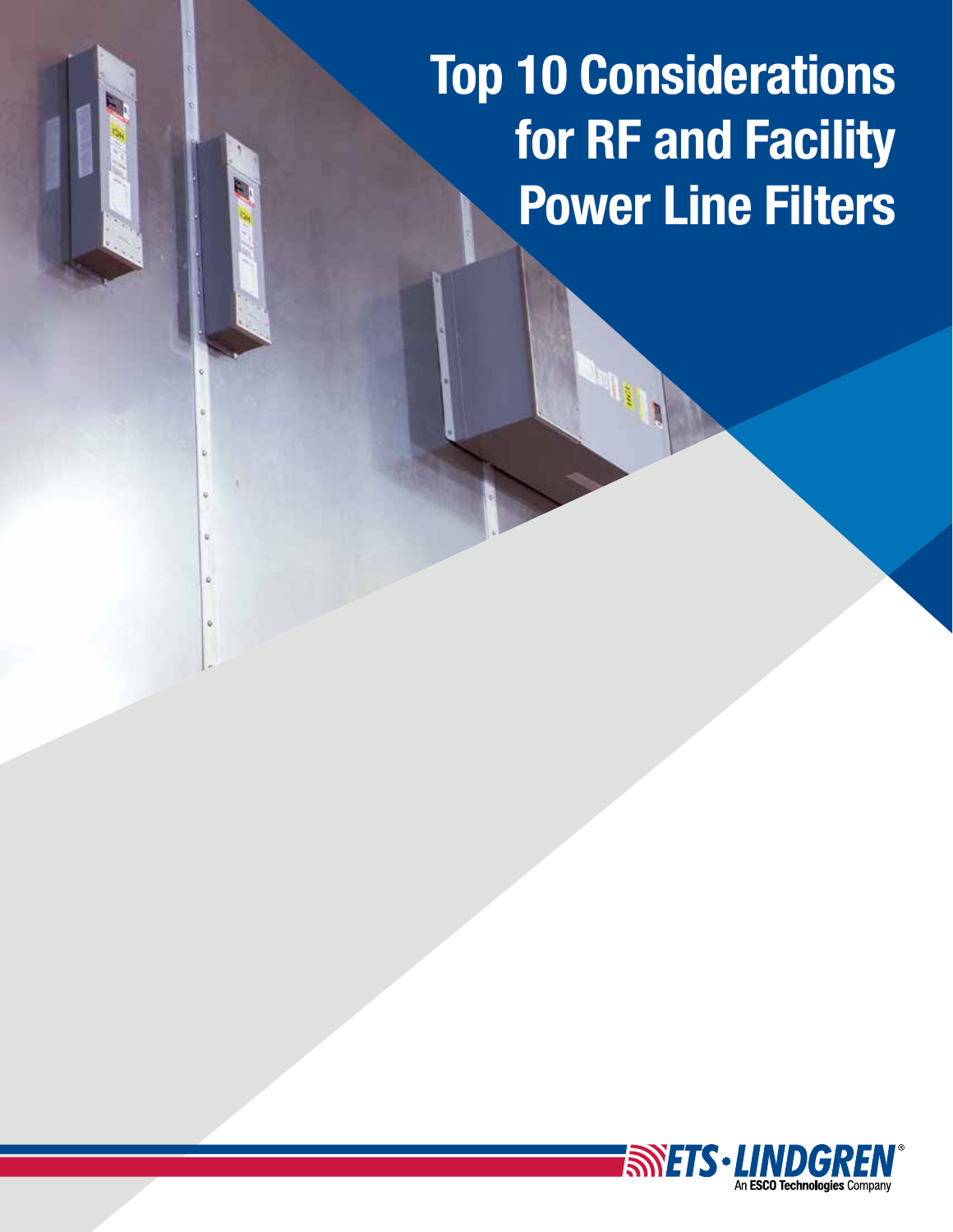Top 10 Considerations for RF and Facility Power Line Filters

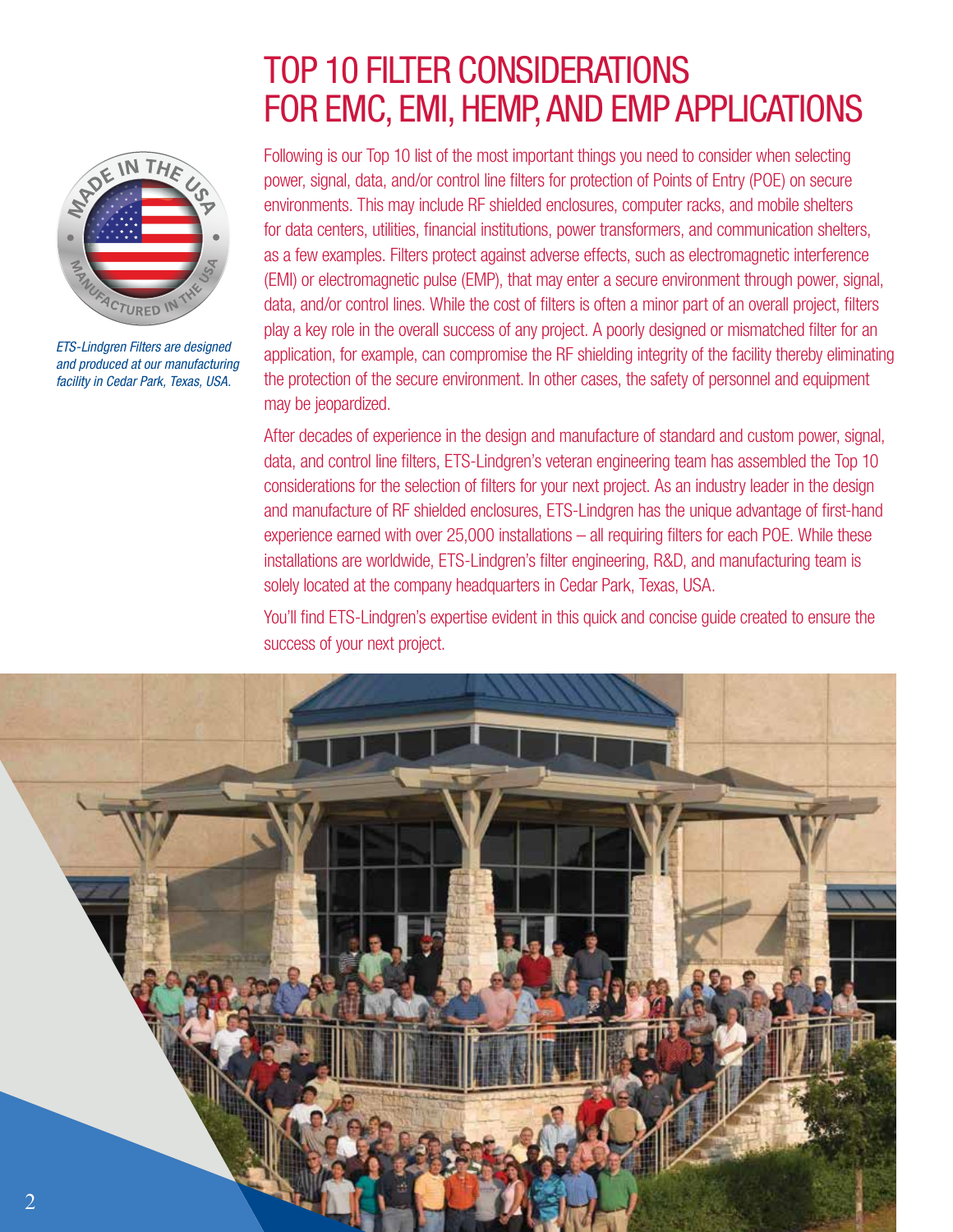# TOP 10 FILTER CONSIDERATIONS FOR EMC, EMI, HEMP, AND EMP APPLICATIONS

SPIE IN THE

*ETS-Lindgren Filters are designed and produced at our manufacturing facility in Cedar Park, Texas, USA.*

Following is our Top 10 list of the most important things you need to consider when selecting power, signal, data, and/or control line filters for protection of Points of Entry (POE) on secure environments. This may include RF shielded enclosures, computer racks, and mobile shelters for data centers, utilities, financial institutions, power transformers, and communication shelters, as a few examples. Filters protect against adverse effects, such as electromagnetic interference (EMI) or electromagnetic pulse (EMP), that may enter a secure environment through power, signal, data, and/or control lines. While the cost of filters is often a minor part of an overall project, filters play a key role in the overall success of any project. A poorly designed or mismatched filter for an application, for example, can compromise the RF shielding integrity of the facility thereby eliminating the protection of the secure environment. In other cases, the safety of personnel and equipment may be jeopardized.

After decades of experience in the design and manufacture of standard and custom power, signal, data, and control line filters, ETS-Lindgren's veteran engineering team has assembled the Top 10 considerations for the selection of filters for your next project. As an industry leader in the design and manufacture of RF shielded enclosures, ETS-Lindgren has the unique advantage of first-hand experience earned with over  $25,000$  installations  $-$  all requiring filters for each POE. While these installations are worldwide, ETS-Lindgren's filter engineering, R&D, and manufacturing team is solely located at the company headquarters in Cedar Park, Texas, USA.

You'll find ETS-Lindgren's expertise evident in this quick and concise guide created to ensure the success of your next project.

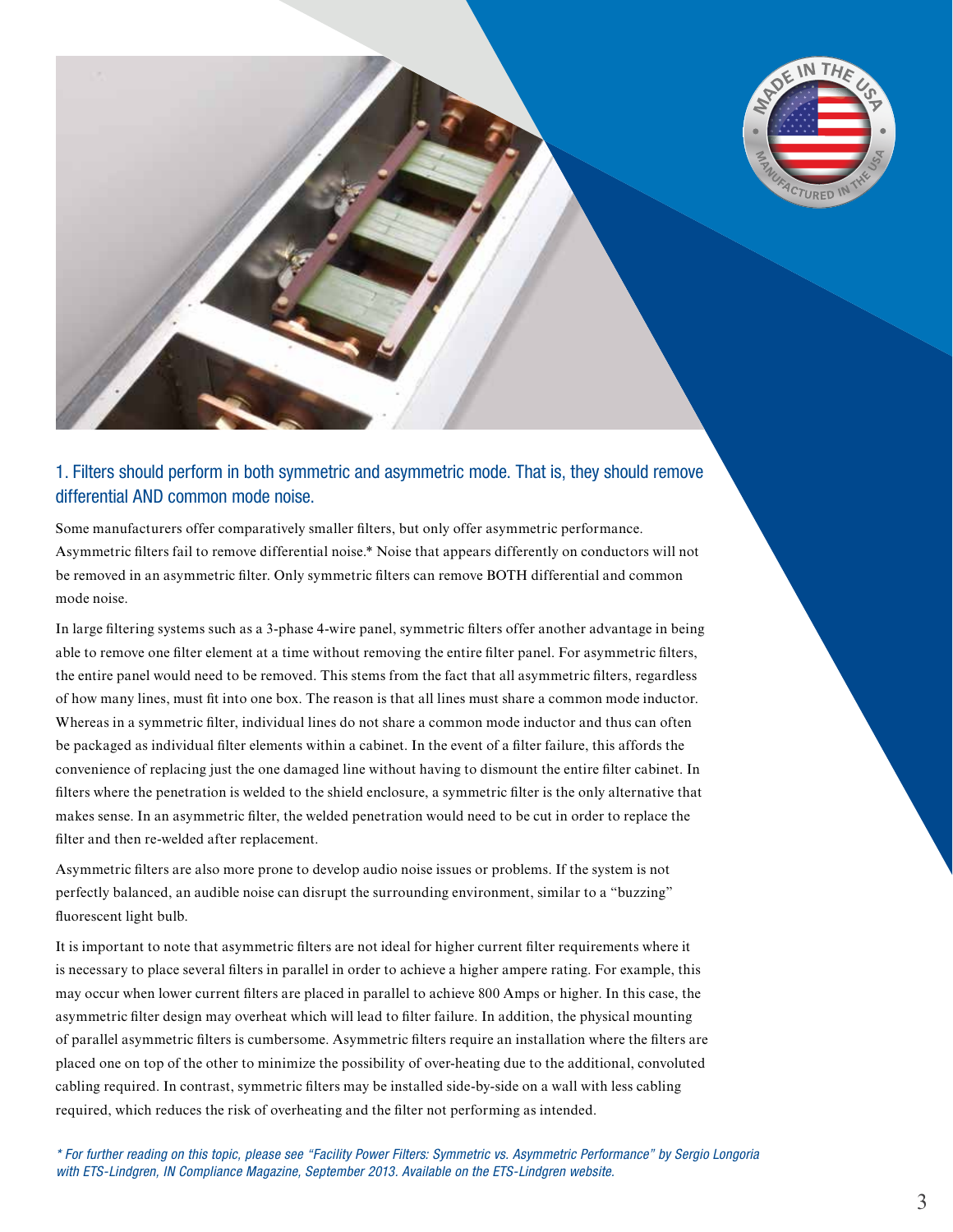

#### 1. Filters should perform in both symmetric and asymmetric mode. That is, they should remove differential AND common mode noise.

Some manufacturers offer comparatively smaller filters, but only offer asymmetric performance. Asymmetric filters fail to remove differential noise.\* Noise that appears differently on conductors will not be removed in an asymmetric filter. Only symmetric filters can remove BOTH differential and common mode noise.

In large filtering systems such as a 3-phase 4-wire panel, symmetric filters offer another advantage in being able to remove one filter element at a time without removing the entire filter panel. For asymmetric filters, the entire panel would need to be removed. This stems from the fact that all asymmetric filters, regardless of how many lines, must fi t into one box. The reason is that all lines must share a common mode inductor. Whereas in a symmetric filter, individual lines do not share a common mode inductor and thus can often be packaged as individual filter elements within a cabinet. In the event of a filter failure, this affords the convenience of replacing just the one damaged line without having to dismount the entire filter cabinet. In filters where the penetration is welded to the shield enclosure, a symmetric filter is the only alternative that makes sense. In an asymmetric filter, the welded penetration would need to be cut in order to replace the filter and then re-welded after replacement.

Asymmetric filters are also more prone to develop audio noise issues or problems. If the system is not perfectly balanced, an audible noise can disrupt the surrounding environment, similar to a "buzzing" fluorescent light bulb.

It is important to note that asymmetric filters are not ideal for higher current filter requirements where it is necessary to place several filters in parallel in order to achieve a higher ampere rating. For example, this may occur when lower current filters are placed in parallel to achieve 800 Amps or higher. In this case, the asymmetric filter design may overheat which will lead to filter failure. In addition, the physical mounting of parallel asymmetric filters is cumbersome. Asymmetric filters require an installation where the filters are placed one on top of the other to minimize the possibility of over-heating due to the additional, convoluted cabling required. In contrast, symmetric filters may be installed side-by-side on a wall with less cabling required, which reduces the risk of overheating and the filter not performing as intended.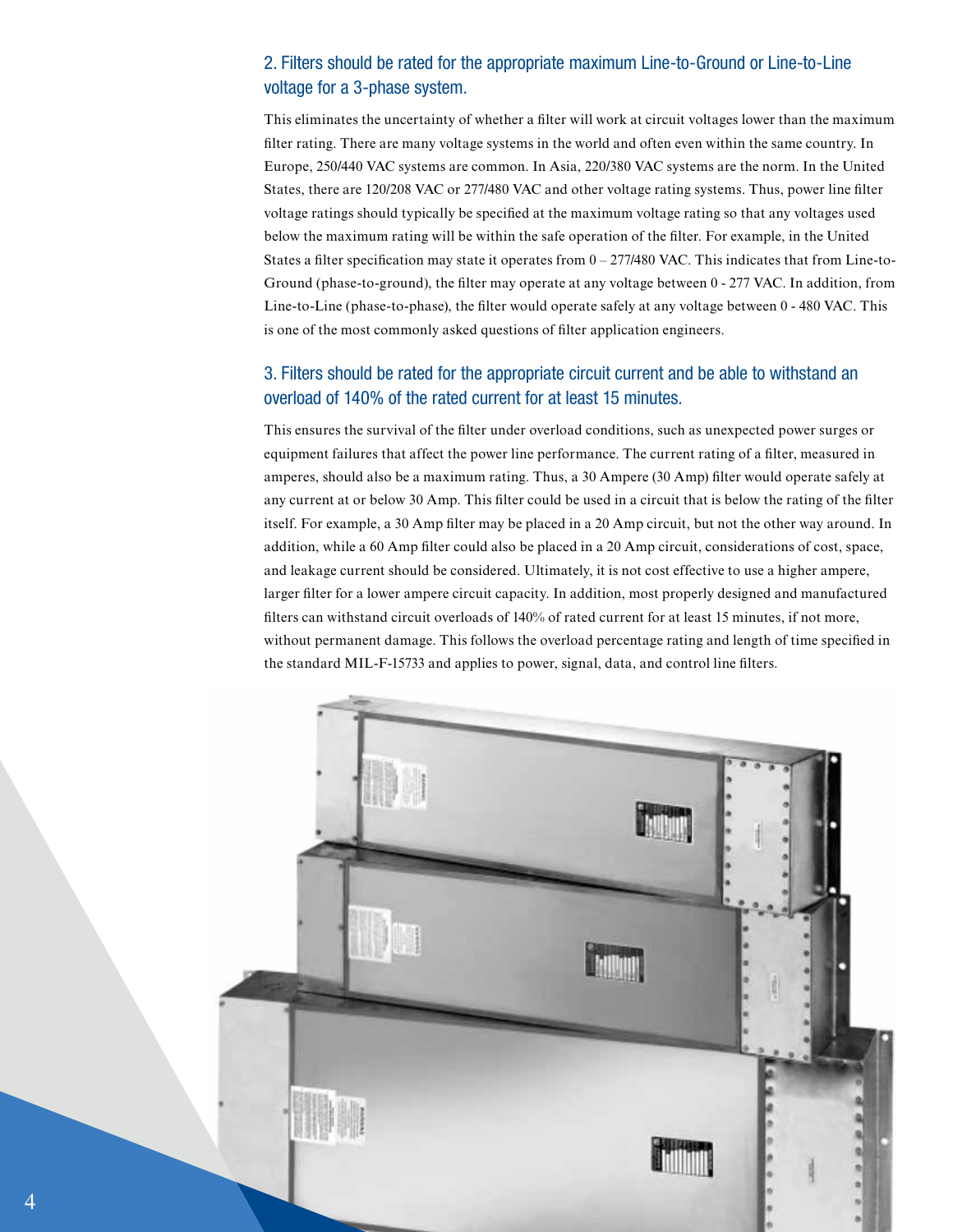# 2. Filters should be rated for the appropriate maximum Line-to-Ground or Line-to-Line voltage for a 3-phase system.

This eliminates the uncertainty of whether a filter will work at circuit voltages lower than the maximum filter rating. There are many voltage systems in the world and often even within the same country. In Europe, 250/440 VAC systems are common. In Asia, 220/380 VAC systems are the norm. In the United States, there are 120/208 VAC or 277/480 VAC and other voltage rating systems. Thus, power line filter voltage ratings should typically be specified at the maximum voltage rating so that any voltages used below the maximum rating will be within the safe operation of the filter. For example, in the United States a filter specification may state it operates from  $0 - 277/480$  VAC. This indicates that from Line-to-Ground (phase-to-ground), the filter may operate at any voltage between 0 - 277 VAC. In addition, from Line-to-Line (phase-to-phase), the filter would operate safely at any voltage between 0 - 480 VAC. This is one of the most commonly asked questions of filter application engineers.

#### 3. Filters should be rated for the appropriate circuit current and be able to withstand an overload of 140% of the rated current for at least 15 minutes.

This ensures the survival of the filter under overload conditions, such as unexpected power surges or equipment failures that affect the power line performance. The current rating of a filter, measured in amperes, should also be a maximum rating. Thus, a 30 Ampere (30 Amp) filter would operate safely at any current at or below 30 Amp. This filter could be used in a circuit that is below the rating of the filter itself. For example, a 30 Amp filter may be placed in a 20 Amp circuit, but not the other way around. In addition, while a 60 Amp filter could also be placed in a 20 Amp circuit, considerations of cost, space, and leakage current should be considered. Ultimately, it is not cost effective to use a higher ampere, larger filter for a lower ampere circuit capacity. In addition, most properly designed and manufactured filters can withstand circuit overloads of 140% of rated current for at least 15 minutes, if not more, without permanent damage. This follows the overload percentage rating and length of time specified in the standard MIL-F-15733 and applies to power, signal, data, and control line filters.

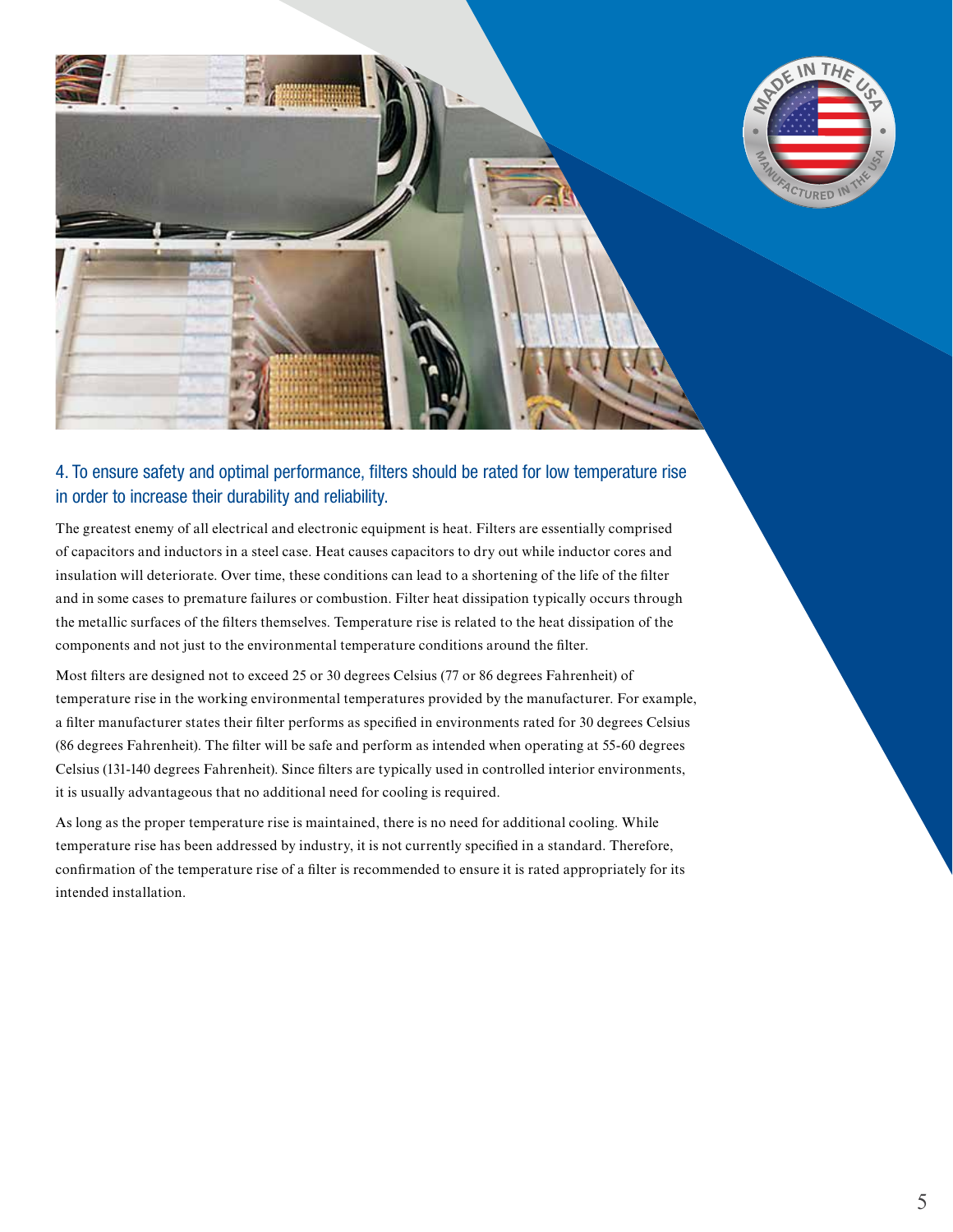

# 4. To ensure safety and optimal performance, fi lters should be rated for low temperature rise in order to increase their durability and reliability.

The greatest enemy of all electrical and electronic equipment is heat. Filters are essentially comprised of capacitors and inductors in a steel case. Heat causes capacitors to dry out while inductor cores and insulation will deteriorate. Over time, these conditions can lead to a shortening of the life of the filter and in some cases to premature failures or combustion. Filter heat dissipation typically occurs through the metallic surfaces of the filters themselves. Temperature rise is related to the heat dissipation of the components and not just to the environmental temperature conditions around the filter.

Most filters are designed not to exceed 25 or 30 degrees Celsius (77 or 86 degrees Fahrenheit) of temperature rise in the working environmental temperatures provided by the manufacturer. For example, a filter manufacturer states their filter performs as specified in environments rated for 30 degrees Celsius (86 degrees Fahrenheit). The filter will be safe and perform as intended when operating at 55-60 degrees Celsius (131-140 degrees Fahrenheit). Since filters are typically used in controlled interior environments, it is usually advantageous that no additional need for cooling is required.

As long as the proper temperature rise is maintained, there is no need for additional cooling. While temperature rise has been addressed by industry, it is not currently specified in a standard. Therefore, confirmation of the temperature rise of a filter is recommended to ensure it is rated appropriately for its intended installation.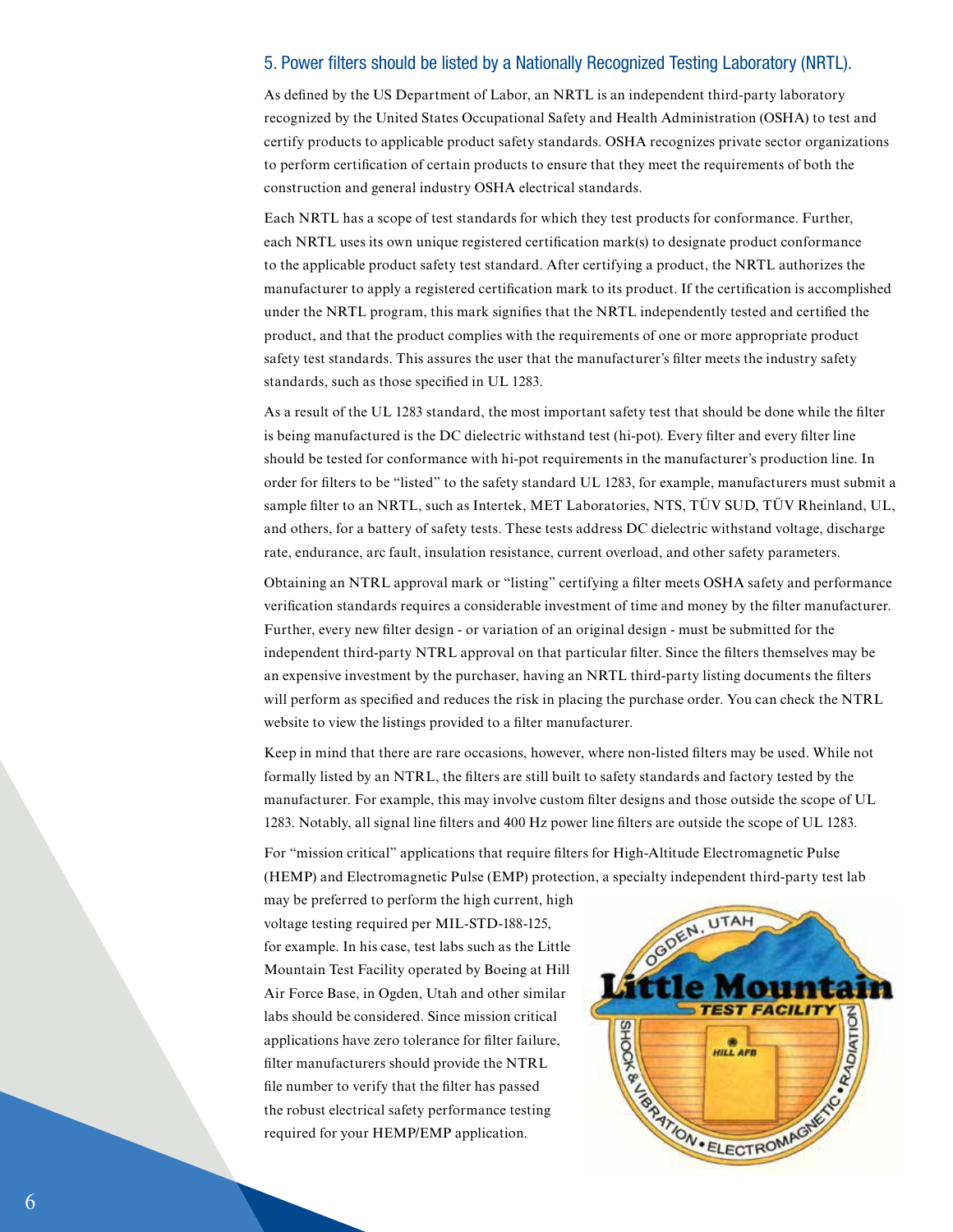#### 5. Power filters should be listed by a Nationally Recognized Testing Laboratory (NRTL).

As defined by the US Department of Labor, an NRTL is an independent third-party laboratory recognized by the United States Occupational Safety and Health Administration (OSHA) to test and certify products to applicable product safety standards. OSHA recognizes private sector organizations to perform certification of certain products to ensure that they meet the requirements of both the construction and general industry OSHA electrical standards.

Each NRTL has a scope of test standards for which they test products for conformance. Further, each NRTL uses its own unique registered certification mark(s) to designate product conformance to the applicable product safety test standard. After certifying a product, the NRTL authorizes the manufacturer to apply a registered certification mark to its product. If the certification is accomplished under the NRTL program, this mark signifies that the NRTL independently tested and certified the product, and that the product complies with the requirements of one or more appropriate product safety test standards. This assures the user that the manufacturer's filter meets the industry safety standards, such as those specified in UL 1283.

As a result of the UL 1283 standard, the most important safety test that should be done while the filter is being manufactured is the DC dielectric withstand test (hi-pot). Every filter and every filter line should be tested for conformance with hi-pot requirements in the manufacturer's production line. In order for filters to be "listed" to the safety standard UL 1283, for example, manufacturers must submit a sample filter to an NRTL, such as Intertek, MET Laboratories, NTS, TÜV SUD, TÜV Rheinland, UL, and others, for a battery of safety tests. These tests address DC dielectric withstand voltage, discharge rate, endurance, arc fault, insulation resistance, current overload, and other safety parameters.

Obtaining an NTRL approval mark or "listing" certifying a filter meets OSHA safety and performance verification standards requires a considerable investment of time and money by the filter manufacturer. Further, every new filter design - or variation of an original design - must be submitted for the independent third-party NTRL approval on that particular filter. Since the filters themselves may be an expensive investment by the purchaser, having an NRTL third-party listing documents the filters will perform as specified and reduces the risk in placing the purchase order. You can check the NTRL website to view the listings provided to a filter manufacturer.

Keep in mind that there are rare occasions, however, where non-listed filters may be used. While not formally listed by an NTRL, the filters are still built to safety standards and factory tested by the manufacturer. For example, this may involve custom filter designs and those outside the scope of UL 1283. Notably, all signal line filters and 400 Hz power line filters are outside the scope of UL 1283.

For "mission critical" applications that require filters for High-Altitude Electromagnetic Pulse (HEMP) and Electromagnetic Pulse (EMP) protection, a specialty independent third-party test lab

may be preferred to perform the high current, high voltage testing required per MIL-STD-188-125, for example. In his case, test labs such as the Little Mountain Test Facility operated by Boeing at Hill Air Force Base, in Ogden, Utah and other similar labs should be considered. Since mission critical applications have zero tolerance for filter failure, filter manufacturers should provide the NTRL file number to verify that the filter has passed the robust electrical safety performance testing required for your HEMP/EMP application.

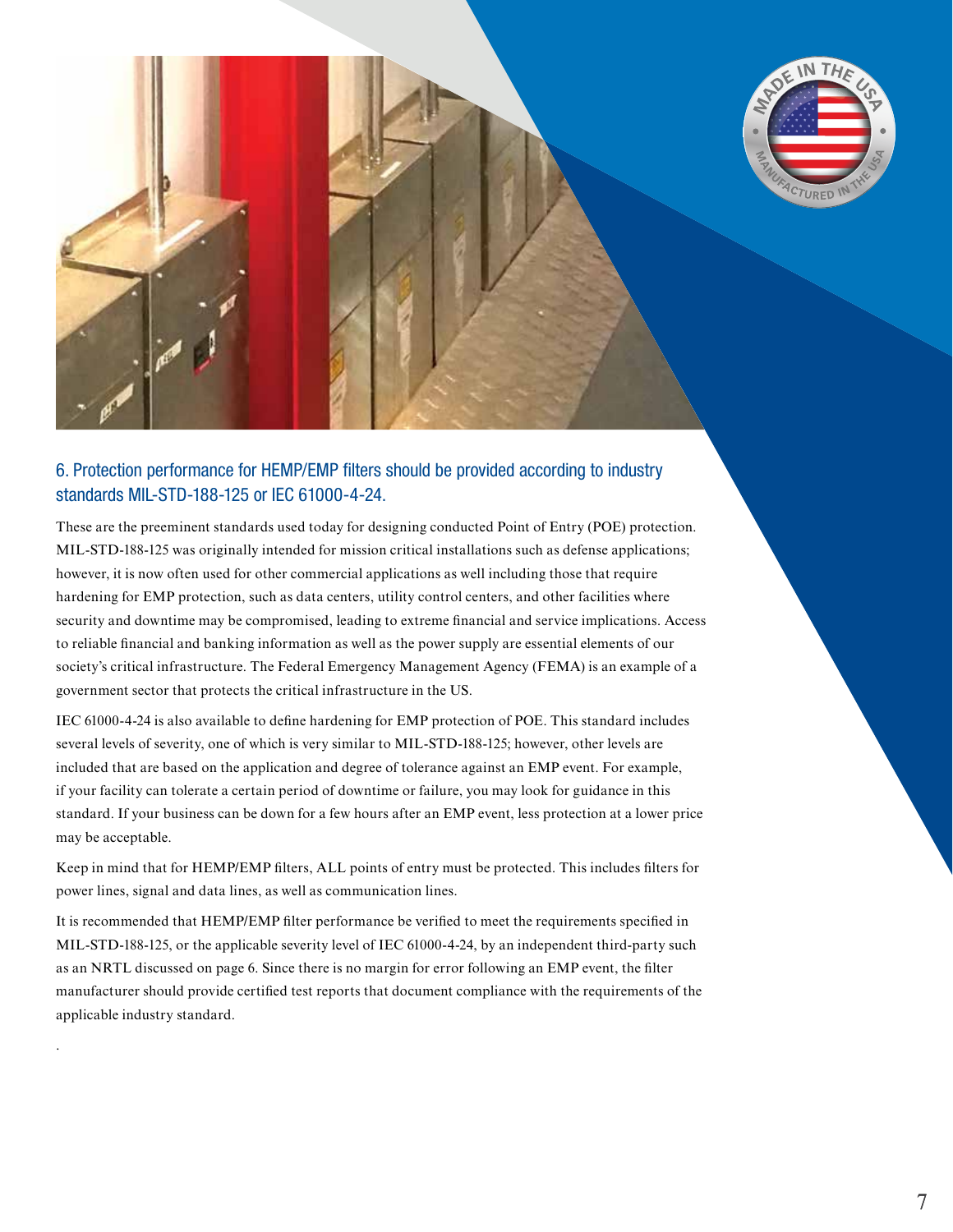

#### 6. Protection performance for HEMP/EMP filters should be provided according to industry standards MIL-STD-188-125 or IEC 61000-4-24.

These are the preeminent standards used today for designing conducted Point of Entry (POE) protection. MIL-STD-188-125 was originally intended for mission critical installations such as defense applications; however, it is now often used for other commercial applications as well including those that require hardening for EMP protection, such as data centers, utility control centers, and other facilities where security and downtime may be compromised, leading to extreme financial and service implications. Access to reliable financial and banking information as well as the power supply are essential elements of our society's critical infrastructure. The Federal Emergency Management Agency (FEMA) is an example of a government sector that protects the critical infrastructure in the US.

IEC 61000-4-24 is also available to define hardening for EMP protection of POE. This standard includes several levels of severity, one of which is very similar to MIL-STD-188-125; however, other levels are included that are based on the application and degree of tolerance against an EMP event. For example, if your facility can tolerate a certain period of downtime or failure, you may look for guidance in this standard. If your business can be down for a few hours after an EMP event, less protection at a lower price may be acceptable.

Keep in mind that for HEMP/EMP filters, ALL points of entry must be protected. This includes filters for power lines, signal and data lines, as well as communication lines.

It is recommended that HEMP/EMP filter performance be verified to meet the requirements specified in MIL-STD-188-125, or the applicable severity level of IEC 61000-4-24, by an independent third-party such as an NRTL discussed on page 6. Since there is no margin for error following an EMP event, the filter manufacturer should provide certified test reports that document compliance with the requirements of the applicable industry standard.

.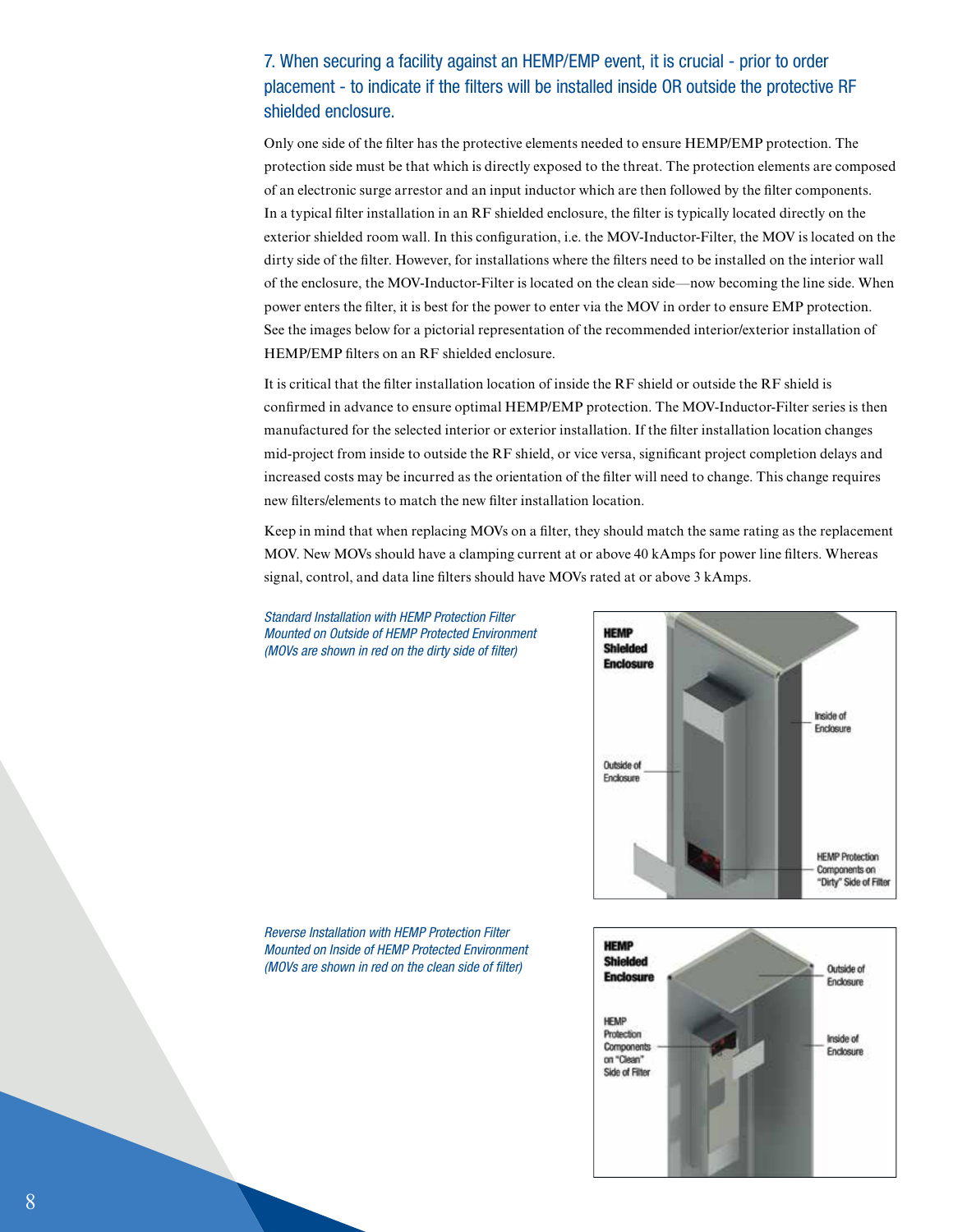## 7. When securing a facility against an HEMP/EMP event, it is crucial - prior to order placement - to indicate if the filters will be installed inside OR outside the protective RF shielded enclosure.

Only one side of the filter has the protective elements needed to ensure HEMP/EMP protection. The protection side must be that which is directly exposed to the threat. The protection elements are composed of an electronic surge arrestor and an input inductor which are then followed by the filter components. In a typical filter installation in an  $RF$  shielded enclosure, the filter is typically located directly on the exterior shielded room wall. In this configuration, i.e. the MOV-Inductor-Filter, the MOV is located on the dirty side of the filter. However, for installations where the filters need to be installed on the interior wall of the enclosure, the MOV-Inductor-Filter is located on the clean side—now becoming the line side. When power enters the filter, it is best for the power to enter via the MOV in order to ensure EMP protection. See the images below for a pictorial representation of the recommended interior/exterior installation of HEMP/EMP filters on an RF shielded enclosure.

It is critical that the filter installation location of inside the RF shield or outside the RF shield is confirmed in advance to ensure optimal HEMP/EMP protection. The MOV-Inductor-Filter series is then manufactured for the selected interior or exterior installation. If the filter installation location changes mid-project from inside to outside the RF shield, or vice versa, significant project completion delays and increased costs may be incurred as the orientation of the filter will need to change. This change requires new filters/elements to match the new filter installation location.

Keep in mind that when replacing MOVs on a filter, they should match the same rating as the replacement MOV. New MOVs should have a clamping current at or above 40 kAmps for power line filters. Whereas signal, control, and data line filters should have MOVs rated at or above 3 kAmps.

*Standard Installation with HEMP Protection Filter Mounted on Outside of HEMP Protected Environment (MOVs are shown in red on the dirty side of filter)* 



*Reverse Installation with HEMP Protection Filter Mounted on Inside of HEMP Protected Environment (MOVs are shown in red on the clean side of filter)* 

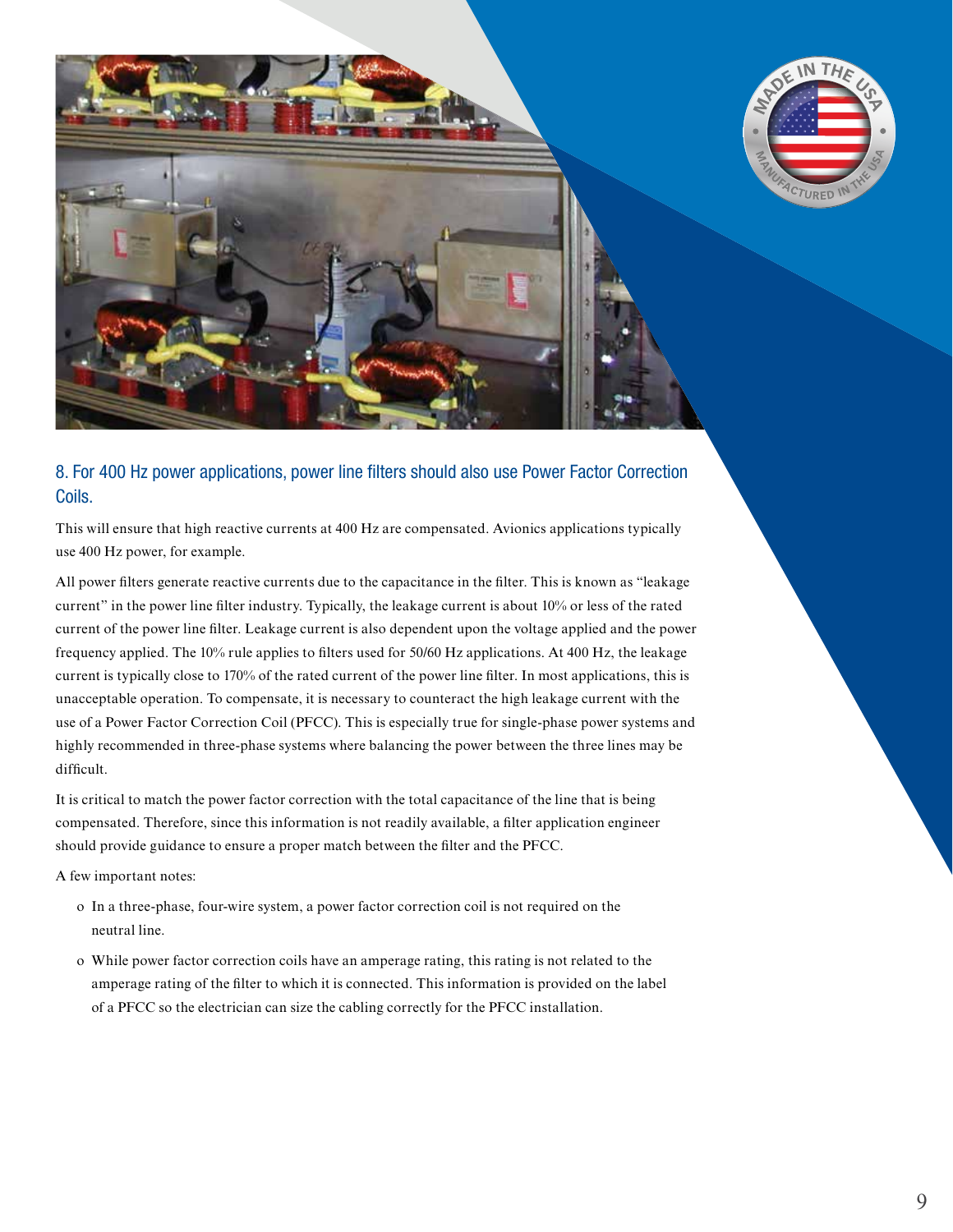



# 8. For 400 Hz power applications, power line filters should also use Power Factor Correction Coils.

This will ensure that high reactive currents at 400 Hz are compensated. Avionics applications typically use 400 Hz power, for example.

All power filters generate reactive currents due to the capacitance in the filter. This is known as "leakage" current" in the power line filter industry. Typically, the leakage current is about 10% or less of the rated current of the power line filter. Leakage current is also dependent upon the voltage applied and the power frequency applied. The 10% rule applies to filters used for 50/60 Hz applications. At 400 Hz, the leakage current is typically close to 170% of the rated current of the power line filter. In most applications, this is unacceptable operation. To compensate, it is necessary to counteract the high leakage current with the use of a Power Factor Correction Coil (PFCC). This is especially true for single-phase power systems and highly recommended in three-phase systems where balancing the power between the three lines may be difficult.

It is critical to match the power factor correction with the total capacitance of the line that is being compensated. Therefore, since this information is not readily available, a filter application engineer should provide guidance to ensure a proper match between the filter and the PFCC.

A few important notes:

- o In a three-phase, four-wire system, a power factor correction coil is not required on the neutral line.
- o While power factor correction coils have an amperage rating, this rating is not related to the amperage rating of the filter to which it is connected. This information is provided on the label of a PFCC so the electrician can size the cabling correctly for the PFCC installation.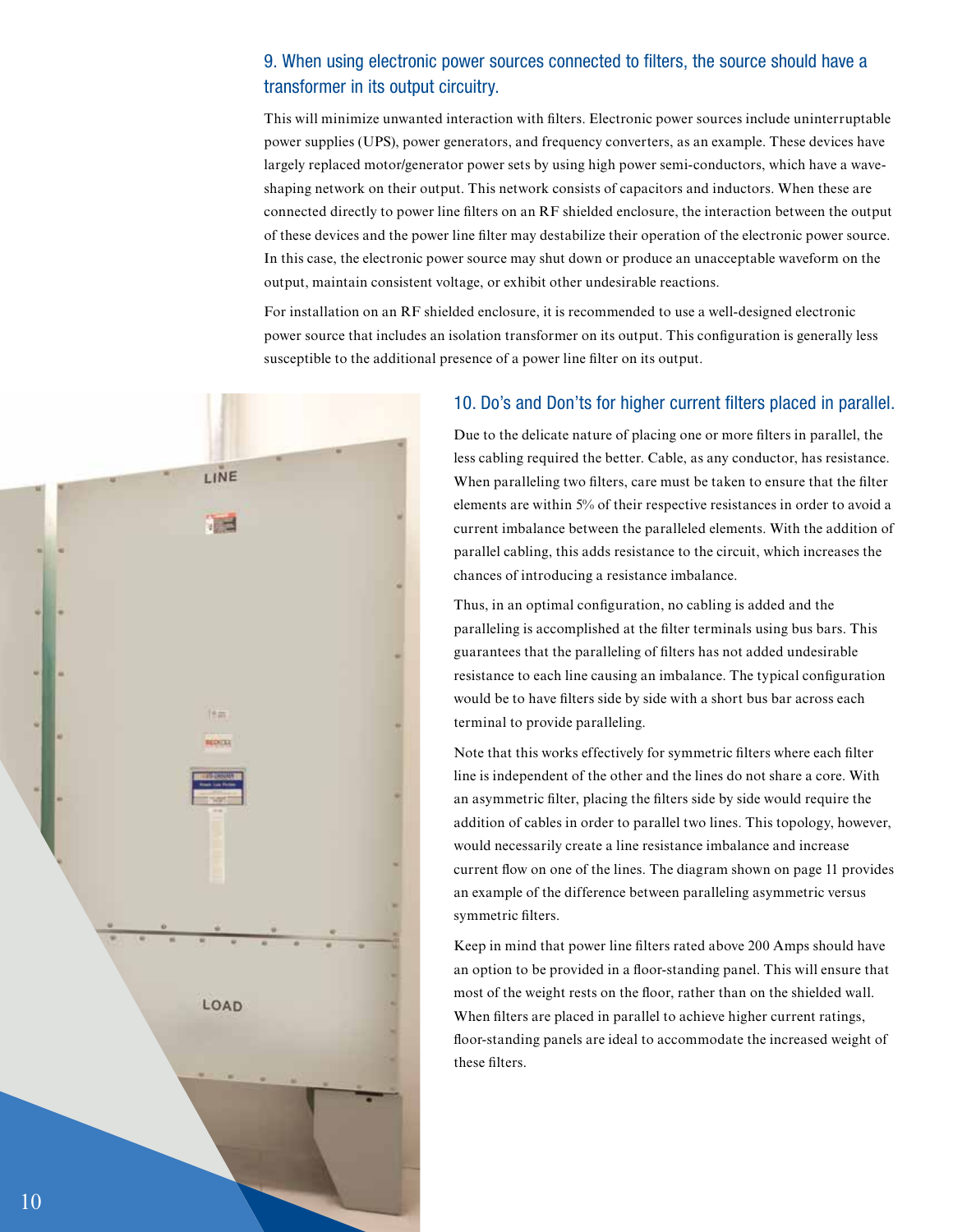#### 9. When using electronic power sources connected to filters, the source should have a transformer in its output circuitry.

This will minimize unwanted interaction with filters. Electronic power sources include uninterruptable power supplies (UPS), power generators, and frequency converters, as an example. These devices have largely replaced motor/generator power sets by using high power semi-conductors, which have a waveshaping network on their output. This network consists of capacitors and inductors. When these are connected directly to power line filters on an RF shielded enclosure, the interaction between the output of these devices and the power line filter may destabilize their operation of the electronic power source. In this case, the electronic power source may shut down or produce an unacceptable waveform on the output, maintain consistent voltage, or exhibit other undesirable reactions.

For installation on an RF shielded enclosure, it is recommended to use a well-designed electronic power source that includes an isolation transformer on its output. This configuration is generally less susceptible to the additional presence of a power line filter on its output.



#### 10. Do's and Don'ts for higher current filters placed in parallel.

Due to the delicate nature of placing one or more filters in parallel, the less cabling required the better. Cable, as any conductor, has resistance. When paralleling two filters, care must be taken to ensure that the filter elements are within 5% of their respective resistances in order to avoid a current imbalance between the paralleled elements. With the addition of parallel cabling, this adds resistance to the circuit, which increases the chances of introducing a resistance imbalance.

Thus, in an optimal configuration, no cabling is added and the paralleling is accomplished at the filter terminals using bus bars. This guarantees that the paralleling of filters has not added undesirable resistance to each line causing an imbalance. The typical configuration would be to have filters side by side with a short bus bar across each terminal to provide paralleling.

Note that this works effectively for symmetric filters where each filter line is independent of the other and the lines do not share a core. With an asymmetric filter, placing the filters side by side would require the addition of cables in order to parallel two lines. This topology, however, would necessarily create a line resistance imbalance and increase current flow on one of the lines. The diagram shown on page 11 provides an example of the difference between paralleling asymmetric versus symmetric filters.

Keep in mind that power line filters rated above 200 Amps should have an option to be provided in a floor-standing panel. This will ensure that most of the weight rests on the floor, rather than on the shielded wall. When filters are placed in parallel to achieve higher current ratings, floor-standing panels are ideal to accommodate the increased weight of these filters.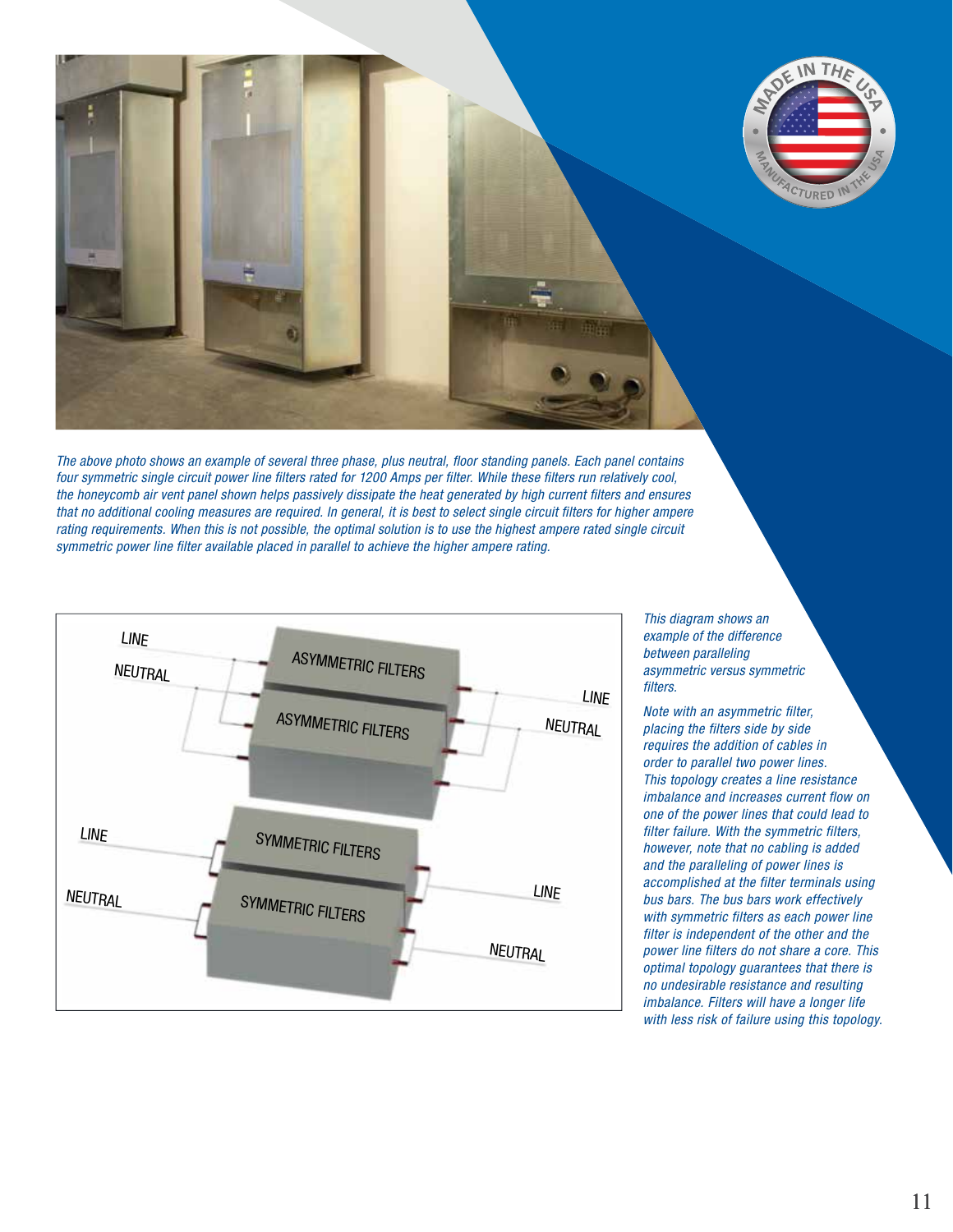

*The above photo shows an example of several three phase, plus neutral, floor standing panels. Each panel contains four symmetric single circuit power line filters rated for 1200 Amps per filter. While these filters run relatively cool, the honeycomb air vent panel shown helps passively dissipate the heat generated by high current filters and ensures that no additional cooling measures are required. In general, it is best to select single circuit filters for higher ampere rating requirements. When this is not possible, the optimal solution is to use the highest ampere rated single circuit symmetric power line filter available placed in parallel to achieve the higher ampere rating.* 



*This diagram shows an example of the difference between paralleling asymmetric versus symmetric filters.* 

*Note with an asymmetric filter, placing the filters side by side requires the addition of cables in order to parallel two power lines. This topology creates a line resistance imbalance and increases current flow on one of the power lines that could lead to filter failure. With the symmetric filters, however, note that no cabling is added and the paralleling of power lines is accomplished at the filter terminals using bus bars. The bus bars work effectively with symmetric filters as each power line filter is independent of the other and the power line filters do not share a core. This optimal topology guarantees that there is no undesirable resistance and resulting imbalance. Filters will have a longer life with less risk of failure using this topology.*